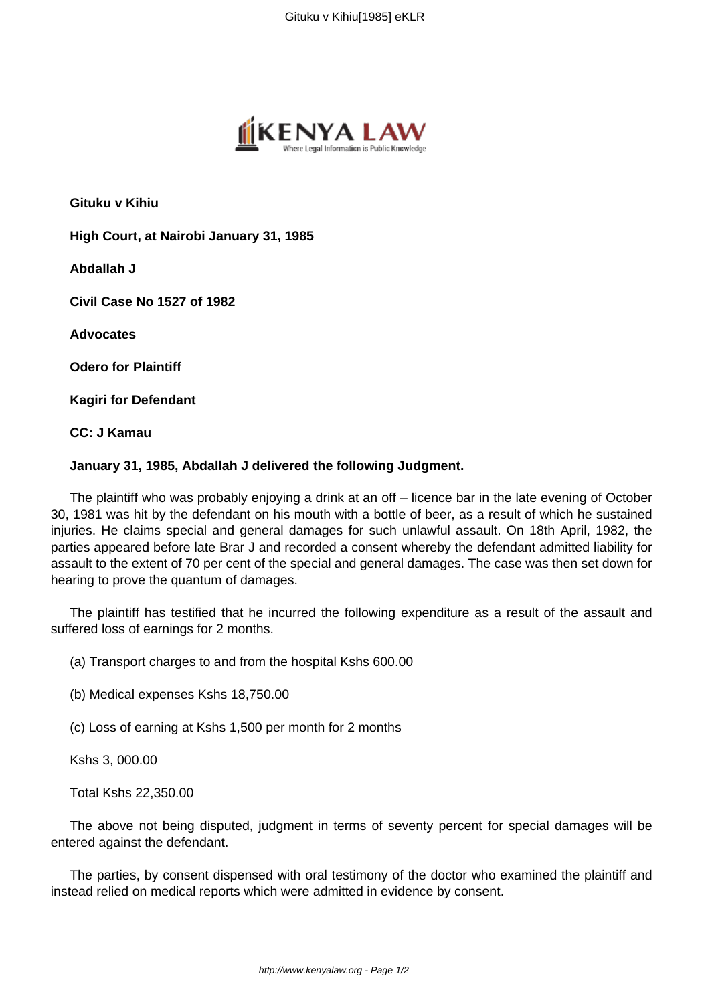

**Gituku v Kihiu**

**High Court, at Nairobi January 31, 1985**

**Abdallah J**

**Civil Case No 1527 of 1982**

**Advocates**

**Odero for Plaintiff**

**Kagiri for Defendant**

**CC: J Kamau**

## **January 31, 1985, Abdallah J delivered the following Judgment.**

The plaintiff who was probably enjoying a drink at an off – licence bar in the late evening of October 30, 1981 was hit by the defendant on his mouth with a bottle of beer, as a result of which he sustained injuries. He claims special and general damages for such unlawful assault. On 18th April, 1982, the parties appeared before late Brar J and recorded a consent whereby the defendant admitted liability for assault to the extent of 70 per cent of the special and general damages. The case was then set down for hearing to prove the quantum of damages.

The plaintiff has testified that he incurred the following expenditure as a result of the assault and suffered loss of earnings for 2 months.

(a) Transport charges to and from the hospital Kshs 600.00

(b) Medical expenses Kshs 18,750.00

(c) Loss of earning at Kshs 1,500 per month for 2 months

Kshs 3, 000.00

Total Kshs 22,350.00

The above not being disputed, judgment in terms of seventy percent for special damages will be entered against the defendant.

The parties, by consent dispensed with oral testimony of the doctor who examined the plaintiff and instead relied on medical reports which were admitted in evidence by consent.